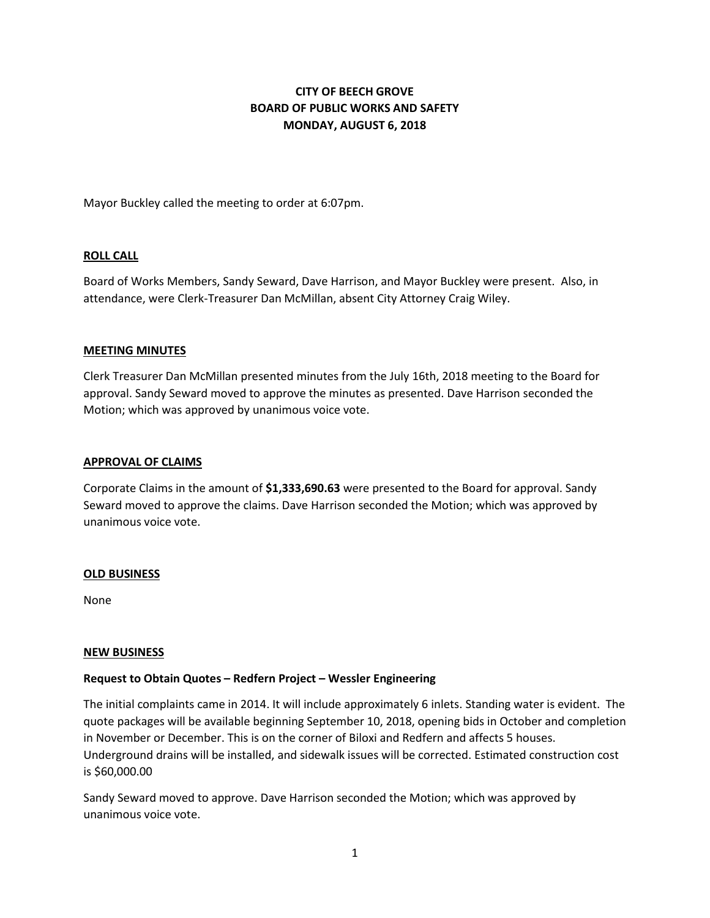# **CITY OF BEECH GROVE BOARD OF PUBLIC WORKS AND SAFETY MONDAY, AUGUST 6, 2018**

Mayor Buckley called the meeting to order at 6:07pm.

### **ROLL CALL**

Board of Works Members, Sandy Seward, Dave Harrison, and Mayor Buckley were present. Also, in attendance, were Clerk-Treasurer Dan McMillan, absent City Attorney Craig Wiley.

#### **MEETING MINUTES**

Clerk Treasurer Dan McMillan presented minutes from the July 16th, 2018 meeting to the Board for approval. Sandy Seward moved to approve the minutes as presented. Dave Harrison seconded the Motion; which was approved by unanimous voice vote.

#### **APPROVAL OF CLAIMS**

Corporate Claims in the amount of **\$1,333,690.63** were presented to the Board for approval. Sandy Seward moved to approve the claims. Dave Harrison seconded the Motion; which was approved by unanimous voice vote.

#### **OLD BUSINESS**

None

#### **NEW BUSINESS**

### **Request to Obtain Quotes – Redfern Project – Wessler Engineering**

The initial complaints came in 2014. It will include approximately 6 inlets. Standing water is evident. The quote packages will be available beginning September 10, 2018, opening bids in October and completion in November or December. This is on the corner of Biloxi and Redfern and affects 5 houses. Underground drains will be installed, and sidewalk issues will be corrected. Estimated construction cost is \$60,000.00

Sandy Seward moved to approve. Dave Harrison seconded the Motion; which was approved by unanimous voice vote.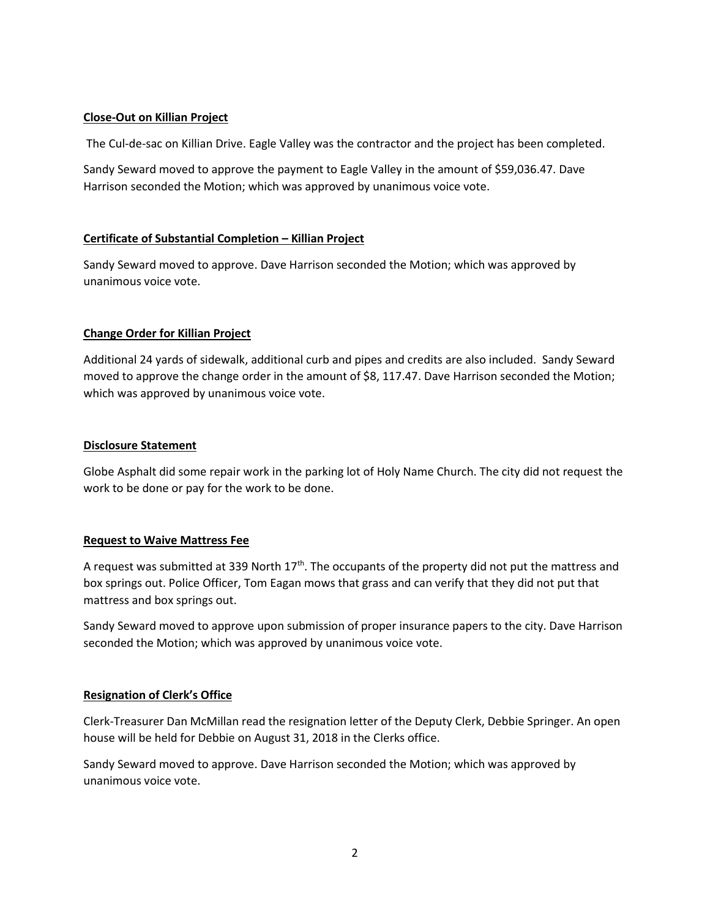### **Close-Out on Killian Project**

The Cul-de-sac on Killian Drive. Eagle Valley was the contractor and the project has been completed.

Sandy Seward moved to approve the payment to Eagle Valley in the amount of \$59,036.47. Dave Harrison seconded the Motion; which was approved by unanimous voice vote.

### **Certificate of Substantial Completion – Killian Project**

Sandy Seward moved to approve. Dave Harrison seconded the Motion; which was approved by unanimous voice vote.

# **Change Order for Killian Project**

Additional 24 yards of sidewalk, additional curb and pipes and credits are also included. Sandy Seward moved to approve the change order in the amount of \$8, 117.47. Dave Harrison seconded the Motion; which was approved by unanimous voice vote.

### **Disclosure Statement**

Globe Asphalt did some repair work in the parking lot of Holy Name Church. The city did not request the work to be done or pay for the work to be done.

### **Request to Waive Mattress Fee**

A request was submitted at 339 North  $17<sup>th</sup>$ . The occupants of the property did not put the mattress and box springs out. Police Officer, Tom Eagan mows that grass and can verify that they did not put that mattress and box springs out.

Sandy Seward moved to approve upon submission of proper insurance papers to the city. Dave Harrison seconded the Motion; which was approved by unanimous voice vote.

# **Resignation of Clerk's Office**

Clerk-Treasurer Dan McMillan read the resignation letter of the Deputy Clerk, Debbie Springer. An open house will be held for Debbie on August 31, 2018 in the Clerks office.

Sandy Seward moved to approve. Dave Harrison seconded the Motion; which was approved by unanimous voice vote.